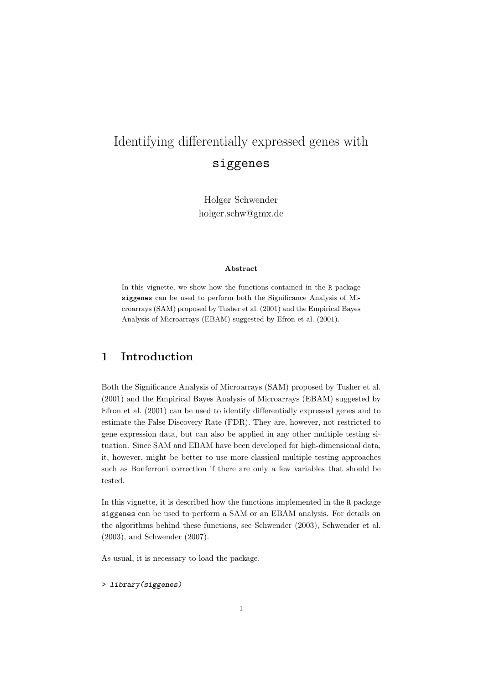# Identifying differentially expressed genes with siggenes

Holger Schwender holger.schw@gmx.de

#### Abstract

In this vignette, we show how the functions contained in the R package siggenes can be used to perform both the Significance Analysis of Microarrays (SAM) proposed by Tusher et al. (2001) and the Empirical Bayes Analysis of Microarrays (EBAM) suggested by Efron et al. (2001).

### 1 Introduction

Both the Significance Analysis of Microarrays (SAM) proposed by Tusher et al. (2001) and the Empirical Bayes Analysis of Microarrays (EBAM) suggested by Efron et al. (2001) can be used to identify differentially expressed genes and to estimate the False Discovery Rate (FDR). They are, however, not restricted to gene expression data, but can also be applied in any other multiple testing situation. Since SAM and EBAM have been developed for high-dimensional data, it, however, might be better to use more classical multiple testing approaches such as Bonferroni correction if there are only a few variables that should be tested.

In this vignette, it is described how the functions implemented in the R package siggenes can be used to perform a SAM or an EBAM analysis. For details on the algorithms behind these functions, see Schwender (2003), Schwender et al. (2003), and Schwender (2007).

As usual, it is necessary to load the package.

> library(siggenes)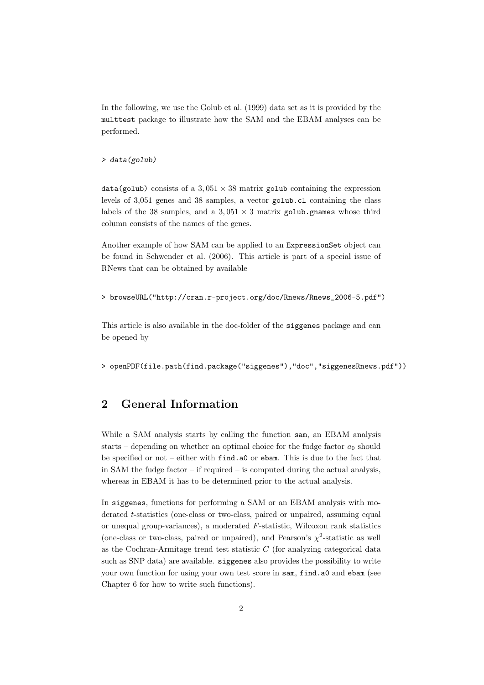In the following, we use the Golub et al. (1999) data set as it is provided by the multtest package to illustrate how the SAM and the EBAM analyses can be performed.

#### > data(golub)

data(golub) consists of a  $3.051 \times 38$  matrix golub containing the expression levels of 3,051 genes and 38 samples, a vector golub.cl containing the class labels of the 38 samples, and a  $3.051 \times 3$  matrix golub.gnames whose third column consists of the names of the genes.

Another example of how SAM can be applied to an ExpressionSet object can be found in Schwender et al. (2006). This article is part of a special issue of RNews that can be obtained by available

```
> browseURL("http://cran.r-project.org/doc/Rnews/Rnews_2006-5.pdf")
```
This article is also available in the doc-folder of the siggenes package and can be opened by

> openPDF(file.path(find.package("siggenes"),"doc","siggenesRnews.pdf"))

### 2 General Information

While a SAM analysis starts by calling the function sam, an EBAM analysis starts – depending on whether an optimal choice for the fudge factor  $a_0$  should be specified or not – either with find.a0 or ebam. This is due to the fact that in SAM the fudge factor – if required – is computed during the actual analysis, whereas in EBAM it has to be determined prior to the actual analysis.

In siggenes, functions for performing a SAM or an EBAM analysis with moderated t-statistics (one-class or two-class, paired or unpaired, assuming equal or unequal group-variances), a moderated  $F$ -statistic, Wilcoxon rank statistics (one-class or two-class, paired or unpaired), and Pearson's  $\chi^2$ -statistic as well as the Cochran-Armitage trend test statistic  $C$  (for analyzing categorical data such as SNP data) are available. siggenes also provides the possibility to write your own function for using your own test score in sam, find.a0 and ebam (see Chapter 6 for how to write such functions).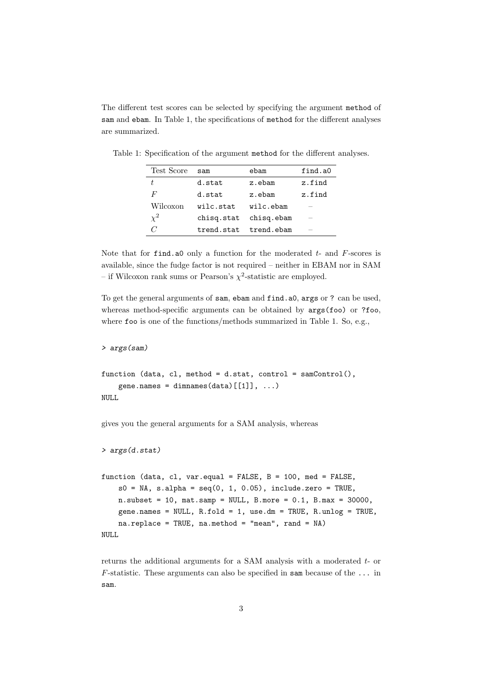The different test scores can be selected by specifying the argument method of sam and ebam. In Table 1, the specifications of method for the different analyses are summarized.

| Test Score | $s$ am     | ebam                   | find.a0 |
|------------|------------|------------------------|---------|
| t.         | d.stat     | z.ebam                 | z.find  |
| F          | d.stat     | z.ebam                 | z.find  |
| Wilcoxon   | wilc.stat. | wilc.ebam              |         |
| $\chi^2$   |            | chisq.stat chisq.ebam  | _       |
|            |            | trend.stat. trend.ebam | _       |

Table 1: Specification of the argument method for the different analyses.

Note that for find.a0 only a function for the moderated  $t$ - and  $F$ -scores is available, since the fudge factor is not required – neither in EBAM nor in SAM – if Wilcoxon rank sums or Pearson's  $\chi^2$ -statistic are employed.

To get the general arguments of sam, ebam and find.a0, args or ? can be used, whereas method-specific arguments can be obtained by  $args(foo)$  or ?foo, where foo is one of the functions/methods summarized in Table 1. So, e.g.,

```
> args(sam)
```

```
function (data, cl, method = d.stat, control = samControl(),
   gene.names = dimnames(data)[[1]], ...)
NULL
```
gives you the general arguments for a SAM analysis, whereas

```
> args(d.stat)
```

```
function (data, cl, var.equal = FALSE, B = 100, med = FALSE,
   s0 = NA, s.alpha = seq(0, 1, 0.05), include.zero = TRUE,
   n.subset = 10, mat.samp = NULL, B.more = 0.1, B.max = 30000,
   gene.names = NULL, R.fold = 1, use.dm = TRUE, R.unlog = TRUE,
   na.replace = TRUE, na.method = "mean", rand = NA)NULL
```
returns the additional arguments for a SAM analysis with a moderated t- or F-statistic. These arguments can also be specified in sam because of the  $\dots$  in sam.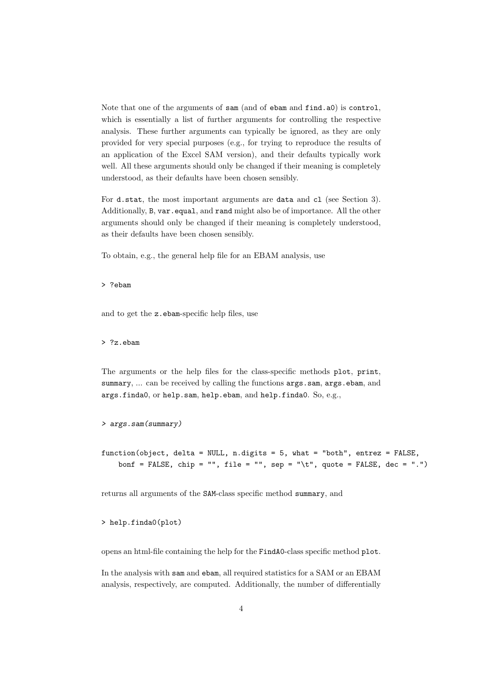Note that one of the arguments of sam (and of ebam and find.a0) is control, which is essentially a list of further arguments for controlling the respective analysis. These further arguments can typically be ignored, as they are only provided for very special purposes (e.g., for trying to reproduce the results of an application of the Excel SAM version), and their defaults typically work well. All these arguments should only be changed if their meaning is completely understood, as their defaults have been chosen sensibly.

For d.stat, the most important arguments are data and cl (see Section 3). Additionally, B, var.equal, and rand might also be of importance. All the other arguments should only be changed if their meaning is completely understood, as their defaults have been chosen sensibly.

To obtain, e.g., the general help file for an EBAM analysis, use

> ?ebam

and to get the z.ebam-specific help files, use

> ?z.ebam

The arguments or the help files for the class-specific methods plot, print, summary, ... can be received by calling the functions  $\arg s.\nsam, \arg s.\ebam,$  and args.finda0, or help.sam, help.ebam, and help.finda0. So, e.g.,

```
> args.sam(summary)
```
function(object, delta = NULL, n.digits = 5, what = "both", entrez = FALSE, bonf = FALSE, chip = "", file = "", sep = " $\setminus t$ ", quote = FALSE, dec = ".")

returns all arguments of the SAM-class specific method summary, and

> help.finda0(plot)

opens an html-file containing the help for the FindA0-class specific method plot.

In the analysis with sam and ebam, all required statistics for a SAM or an EBAM analysis, respectively, are computed. Additionally, the number of differentially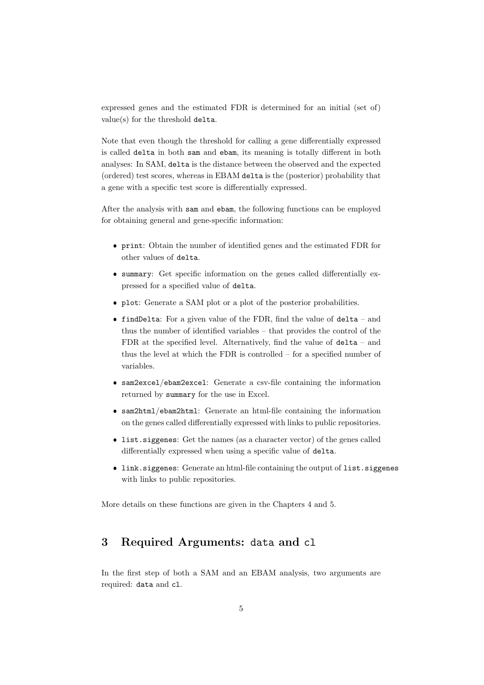expressed genes and the estimated FDR is determined for an initial (set of) value(s) for the threshold delta.

Note that even though the threshold for calling a gene differentially expressed is called delta in both sam and ebam, its meaning is totally different in both analyses: In SAM, delta is the distance between the observed and the expected (ordered) test scores, whereas in EBAM delta is the (posterior) probability that a gene with a specific test score is differentially expressed.

After the analysis with sam and ebam, the following functions can be employed for obtaining general and gene-specific information:

- print: Obtain the number of identified genes and the estimated FDR for other values of delta.
- summary: Get specific information on the genes called differentially expressed for a specified value of delta.
- plot: Generate a SAM plot or a plot of the posterior probabilities.
- **findDelta:** For a given value of the FDR, find the value of  $delta -$  and thus the number of identified variables – that provides the control of the FDR at the specified level. Alternatively, find the value of delta – and thus the level at which the FDR is controlled – for a specified number of variables.
- sam2excel/ebam2excel: Generate a csv-file containing the information returned by summary for the use in Excel.
- sam2html/ebam2html: Generate an html-file containing the information on the genes called differentially expressed with links to public repositories.
- list.siggenes: Get the names (as a character vector) of the genes called differentially expressed when using a specific value of delta.
- link.siggenes: Generate an html-file containing the output of list.siggenes with links to public repositories.

More details on these functions are given in the Chapters 4 and 5.

### 3 Required Arguments: data and cl

In the first step of both a SAM and an EBAM analysis, two arguments are required: data and cl.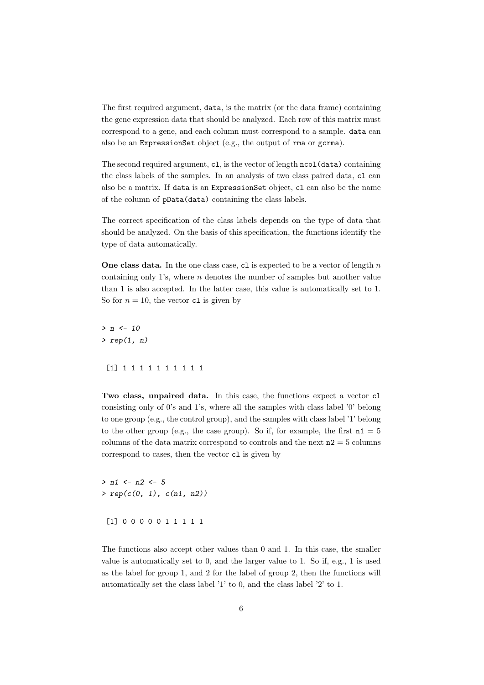The first required argument, data, is the matrix (or the data frame) containing the gene expression data that should be analyzed. Each row of this matrix must correspond to a gene, and each column must correspond to a sample. data can also be an ExpressionSet object (e.g., the output of rma or gcrma).

The second required argument, c1, is the vector of length ncol(data) containing the class labels of the samples. In an analysis of two class paired data, cl can also be a matrix. If data is an ExpressionSet object, cl can also be the name of the column of pData(data) containing the class labels.

The correct specification of the class labels depends on the type of data that should be analyzed. On the basis of this specification, the functions identify the type of data automatically.

**One class data.** In the one class case, c1 is expected to be a vector of length  $n$ containing only 1's, where  $n$  denotes the number of samples but another value than 1 is also accepted. In the latter case, this value is automatically set to 1. So for  $n = 10$ , the vector c1 is given by

 $> n < - 10$ >  $rep(1, n)$ [1] 1 1 1 1 1 1 1 1 1 1

Two class, unpaired data. In this case, the functions expect a vector cl consisting only of 0's and 1's, where all the samples with class label '0' belong to one group (e.g., the control group), and the samples with class label '1' belong to the other group (e.g., the case group). So if, for example, the first  $n1 = 5$ columns of the data matrix correspond to controls and the next  $n^2 = 5$  columns correspond to cases, then the vector cl is given by

 $> n1 < - n2 < - 5$  $> rep(c(0, 1), c(n1, n2))$ [1] 0 0 0 0 0 1 1 1 1 1

The functions also accept other values than 0 and 1. In this case, the smaller value is automatically set to 0, and the larger value to 1. So if, e.g., 1 is used as the label for group 1, and 2 for the label of group 2, then the functions will automatically set the class label '1' to 0, and the class label '2' to 1.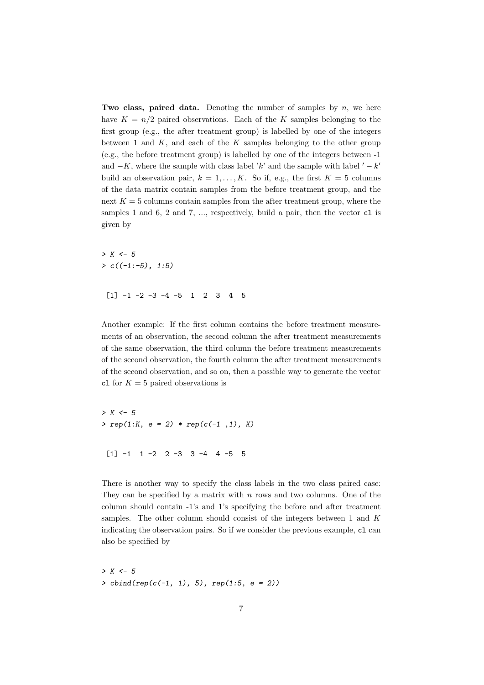Two class, paired data. Denoting the number of samples by  $n$ , we here have  $K = n/2$  paired observations. Each of the K samples belonging to the first group (e.g., the after treatment group) is labelled by one of the integers between 1 and  $K$ , and each of the  $K$  samples belonging to the other group (e.g., the before treatment group) is labelled by one of the integers between -1 and  $-K$ , where the sample with class label 'k' and the sample with label  $' - k'$ build an observation pair,  $k = 1, ..., K$ . So if, e.g., the first  $K = 5$  columns of the data matrix contain samples from the before treatment group, and the next  $K = 5$  columns contain samples from the after treatment group, where the samples 1 and 6, 2 and 7,  $\ldots$ , respectively, build a pair, then the vector c1 is given by

 $> K < -5$  $> c((-1:-5), 1:5)$  $\begin{bmatrix} 11 & -1 & -2 & -3 & -4 & -5 & 1 & 2 & 3 & 4 & 5 \end{bmatrix}$ 

Another example: If the first column contains the before treatment measurements of an observation, the second column the after treatment measurements of the same observation, the third column the before treatment measurements of the second observation, the fourth column the after treatment measurements of the second observation, and so on, then a possible way to generate the vector c1 for  $K = 5$  paired observations is

 $> K < -5$  $> rep(1:K, e = 2) * rep(c(-1, 1), K)$  $\begin{bmatrix} 1 & -1 & 1 & -2 & 2 & -3 & 3 & -4 & 4 & -5 & 5 \end{bmatrix}$ 

There is another way to specify the class labels in the two class paired case: They can be specified by a matrix with  $n$  rows and two columns. One of the column should contain -1's and 1's specifying the before and after treatment samples. The other column should consist of the integers between  $1$  and  $K$ indicating the observation pairs. So if we consider the previous example, cl can also be specified by

 $> K < - 5$  $> \text{cbind}(\text{rep}(c(-1, 1), 5), \text{rep}(1:5, e = 2))$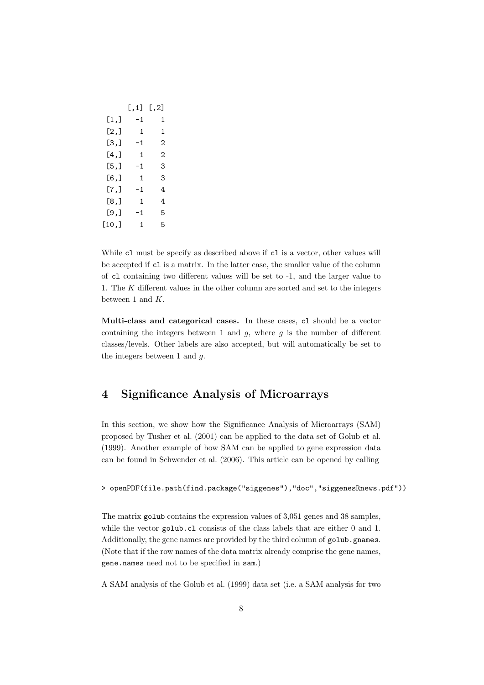|       | $[\, . \, 1]$ | [, 2] |
|-------|---------------|-------|
| [1,]  | -1            | 1     |
| [2,]  | $\mathbf{1}$  | 1     |
| [3,]  | -1            | 2     |
| [4,]  | $\mathbf{1}$  | 2     |
| [5,]  | -1            | 3     |
| [6,]  | 1             | 3     |
| [7.]  | -1            | 4     |
| [8,]  | $\mathbf{1}$  | 4     |
| [9.]  | -1            | 5     |
| [10,] | $\mathbf{1}$  | 5     |

While c1 must be specify as described above if c1 is a vector, other values will be accepted if cl is a matrix. In the latter case, the smaller value of the column of cl containing two different values will be set to -1, and the larger value to 1. The K different values in the other column are sorted and set to the integers between 1 and  $K$ .

Multi-class and categorical cases. In these cases, cl should be a vector containing the integers between 1 and  $g$ , where  $g$  is the number of different classes/levels. Other labels are also accepted, but will automatically be set to the integers between 1 and  $q$ .

# 4 Significance Analysis of Microarrays

In this section, we show how the Significance Analysis of Microarrays (SAM) proposed by Tusher et al. (2001) can be applied to the data set of Golub et al. (1999). Another example of how SAM can be applied to gene expression data can be found in Schwender et al. (2006). This article can be opened by calling

#### > openPDF(file.path(find.package("siggenes"),"doc","siggenesRnews.pdf"))

The matrix golub contains the expression values of 3,051 genes and 38 samples, while the vector golub.cl consists of the class labels that are either 0 and 1. Additionally, the gene names are provided by the third column of golub.gnames. (Note that if the row names of the data matrix already comprise the gene names, gene.names need not to be specified in sam.)

A SAM analysis of the Golub et al. (1999) data set (i.e. a SAM analysis for two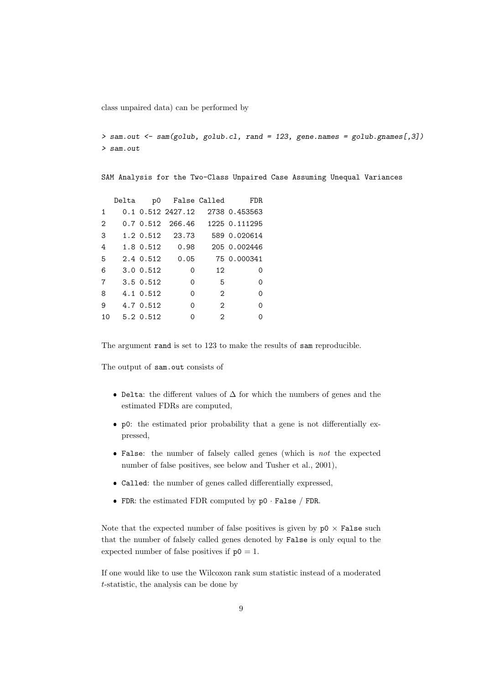class unpaired data) can be performed by

```
> sam.out <- sam(golub, golub.cl, rand = 123, gene.names = golub.gnames[,3])
> sam.out
```
SAM Analysis for the Two-Class Unpaired Case Assuming Unequal Variances

|                |           |                      |                | Delta p0 False Called FDR      |
|----------------|-----------|----------------------|----------------|--------------------------------|
| $\mathbf{1}$   |           | 0.1 0.512 2427.12    |                | 2738 0.453563                  |
| $\overline{2}$ |           |                      |                | 0.7 0.512 266.46 1225 0.111295 |
| 3              |           | 1.2 0.512 23.73      |                | 589 0.020614                   |
| 4              |           | 1.8 0.512 0.98       |                | 205 0.002446                   |
| .5             |           | $2.4 \t0.512 \t0.05$ |                | 75 0.000341                    |
| 6              | 3.0 0.512 | $\Omega$             | 12             | Ω                              |
| 7              | 3.5 0.512 | $\Omega$             | - 5            | 0                              |
| 8              | 4.1 0.512 | $\Omega$             | $\mathcal{D}$  | 0                              |
| 9              | 4.7 0.512 | 0                    | $\mathbf{2}$   | 0                              |
| 10             | 5.2 0.512 | ი                    | $\mathfrak{D}$ | ∩                              |

The argument rand is set to 123 to make the results of sam reproducible.

The output of sam.out consists of

- $\bullet$  Delta: the different values of  $\Delta$  for which the numbers of genes and the estimated FDRs are computed,
- p0: the estimated prior probability that a gene is not differentially expressed,
- False: the number of falsely called genes (which is *not* the expected number of false positives, see below and Tusher et al., 2001),
- Called: the number of genes called differentially expressed,
- FDR: the estimated FDR computed by p0 · False / FDR.

Note that the expected number of false positives is given by  $p0 \times False$  such that the number of falsely called genes denoted by False is only equal to the expected number of false positives if  $p0 = 1$ .

If one would like to use the Wilcoxon rank sum statistic instead of a moderated t-statistic, the analysis can be done by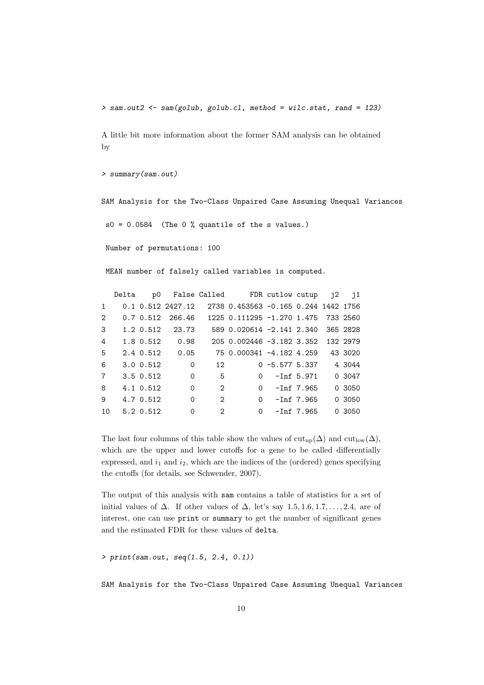> sam.out2 <- sam(golub, golub.cl, method = wilc.stat, rand = 123)

A little bit more information about the former SAM analysis can be obtained by

```
> summary(sam.out)
```
SAM Analysis for the Two-Class Unpaired Case Assuming Unequal Variances

 $s0 = 0.0584$  (The 0 % quantile of the s values.)

Number of permutations: 100

MEAN number of falsely called variables is computed.

|    |                                                  |                                                                                              |          |    |          |                                                                  | 43 3020                                                                                                                                                                                                                                                                             |
|----|--------------------------------------------------|----------------------------------------------------------------------------------------------|----------|----|----------|------------------------------------------------------------------|-------------------------------------------------------------------------------------------------------------------------------------------------------------------------------------------------------------------------------------------------------------------------------------|
|    | $\overline{0}$                                   |                                                                                              |          |    |          |                                                                  |                                                                                                                                                                                                                                                                                     |
|    | $\mathbf 0$                                      | - 5                                                                                          |          |    |          |                                                                  | 0 3047                                                                                                                                                                                                                                                                              |
|    | $\Omega$                                         | 2                                                                                            |          |    |          |                                                                  | 0 3050                                                                                                                                                                                                                                                                              |
|    | $\Omega$                                         | $\overline{2}$                                                                               |          |    |          |                                                                  | 0 3050                                                                                                                                                                                                                                                                              |
|    | $\Omega$                                         | $\overline{2}$                                                                               | $\Omega$ |    |          |                                                                  | 0 3050                                                                                                                                                                                                                                                                              |
| 10 | 3.5 0.512<br>4.1 0.512<br>4.7 0.512<br>5.2 0.512 | $0.7$ 0.512 266.46<br>1.2 0.512 23.73<br>1.8 0.512 0.98<br>$2.4 \t0.512 \t0.05$<br>3.0 0.512 |          | 12 | $\Omega$ | $0 - Inf 5.971$<br>$0 - Inf 7.965$<br>-Inf 7.965<br>$-Inf$ 7.965 | Delta p0 False Called FDR cutlow cutup j2 j1<br>$0.1$ 0.512 2427.12 2738 0.453563 -0.165 0.244 1442 1756<br>1225 0.111295 -1.270 1.475 733 2560<br>589 0.020614 -2.141 2.340 365 2828<br>205 0.002446 -3.182 3.352 132 2979<br>75 0.000341 -4.182 4.259<br>$0 - 5.577$ 5.337 4 3044 |

The last four columns of this table show the values of  $\text{cut}_{\text{up}}(\Delta)$  and  $\text{cut}_{\text{low}}(\Delta)$ , which are the upper and lower cutoffs for a gene to be called differentially expressed, and  $i_1$  and  $i_2$ , which are the indices of the (ordered) genes specifying the cutoffs (for details, see Schwender, 2007).

The output of this analysis with sam contains a table of statistics for a set of initial values of  $\Delta$ . If other values of  $\Delta$ , let's say 1.5, 1.6, 1.7, ..., 2.4, are of interest, one can use print or summary to get the number of significant genes and the estimated FDR for these values of delta.

> print(sam.out, seq(1.5, 2.4, 0.1))

SAM Analysis for the Two-Class Unpaired Case Assuming Unequal Variances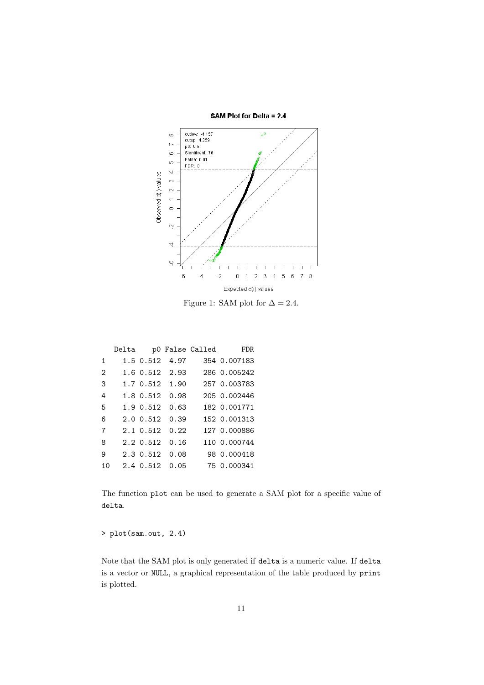

Figure 1: SAM plot for  $\Delta = 2.4$ .

|                |                      |                      | Delta p0 False Called | <b>FDR</b>                  |
|----------------|----------------------|----------------------|-----------------------|-----------------------------|
| $\mathbf{1}$   |                      | 1.5 0.512 4.97       |                       | 354 0.007183                |
| $\mathcal{D}$  |                      | 1.6 0.512 2.93       |                       | 286 0.005242                |
| 3              |                      |                      |                       | 1.7 0.512 1.90 257 0.003783 |
| 4              | 1.8 0.512 0.98       |                      |                       | 205 0.002446                |
| -5             | $1.9 \t0.512 \t0.63$ |                      |                       | 182 0.001771                |
| 6              |                      | $2.0 \t0.512 \t0.39$ |                       | 152 0.001313                |
| $\overline{7}$ | $2.1 \t0.512 \t0.22$ |                      |                       | 127 0.000886                |
| 8              | $2.2 \t0.512 \t0.16$ |                      |                       | 110 0.000744                |
| 9              |                      | 2.3 0.512 0.08       |                       | 98 0.000418                 |
| 10             |                      | $2.4 \t0.512 \t0.05$ |                       | 75 0.000341                 |

The function plot can be used to generate a SAM plot for a specific value of delta.

> plot(sam.out, 2.4)

Note that the SAM plot is only generated if delta is a numeric value. If delta is a vector or NULL, a graphical representation of the table produced by print is plotted.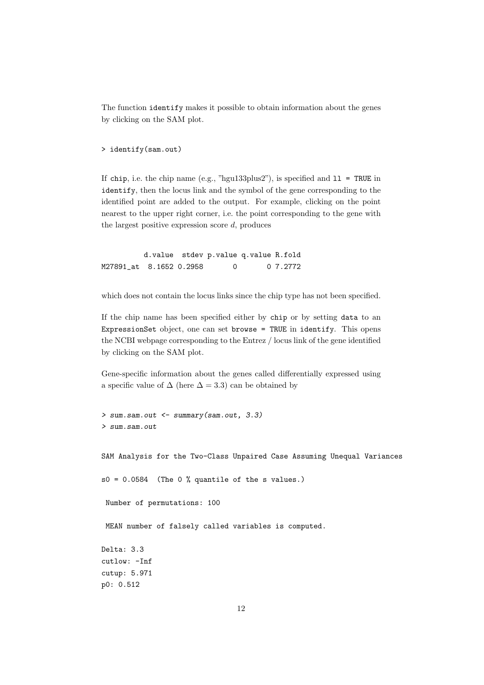The function identify makes it possible to obtain information about the genes by clicking on the SAM plot.

> identify(sam.out)

If chip, i.e. the chip name (e.g., "hgu133plus2"), is specified and  $11 = \text{TRUE}$  in identify, then the locus link and the symbol of the gene corresponding to the identified point are added to the output. For example, clicking on the point nearest to the upper right corner, i.e. the point corresponding to the gene with the largest positive expression score  $d$ , produces

d.value stdev p.value q.value R.fold M27891\_at 8.1652 0.2958 0 0 7.2772

which does not contain the locus links since the chip type has not been specified.

If the chip name has been specified either by chip or by setting data to an ExpressionSet object, one can set browse = TRUE in identify. This opens the NCBI webpage corresponding to the Entrez / locus link of the gene identified by clicking on the SAM plot.

Gene-specific information about the genes called differentially expressed using a specific value of  $\Delta$  (here  $\Delta = 3.3$ ) can be obtained by

```
> sum.sam.out <- summary(sam.out, 3.3)
> sum.sam.out
SAM Analysis for the Two-Class Unpaired Case Assuming Unequal Variances
s0 = 0.0584 (The 0 % quantile of the s values.)
 Number of permutations: 100
 MEAN number of falsely called variables is computed.
Delta: 3.3
cutlow: -Inf
cutup: 5.971
p0: 0.512
```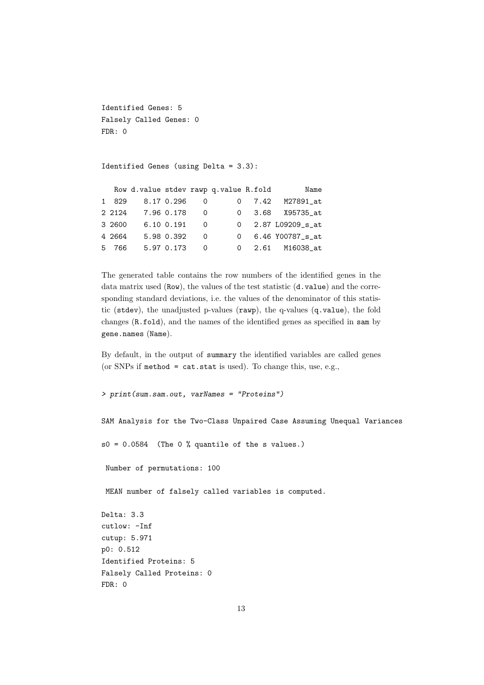```
Identified Genes: 5
Falsely Called Genes: 0
FDR: 0
```
Identified Genes (using Delta = 3.3):

|       |        |                |          | Row d.value stdev rawp q.value R.fold | Name               |
|-------|--------|----------------|----------|---------------------------------------|--------------------|
|       | 1 829  | 8.17 0.296     | $\Omega$ |                                       | 0 7.42 M27891_at   |
|       | 2 2124 | 7.96 0.178     | $\Omega$ |                                       | 0 3.68 X95735_at   |
|       | 3 2600 | $6.10 \t0.191$ | $\Omega$ |                                       | 0 2.87 L09209_s_at |
|       | 4 2664 | 5.98 0.392     | $\Omega$ |                                       | 0 6.46 Y00787 s at |
| $5 -$ | 766    | 5.97 0.173     | $\Omega$ |                                       | 0 2.61 M16038 at   |

The generated table contains the row numbers of the identified genes in the data matrix used (Row), the values of the test statistic (d.value) and the corresponding standard deviations, i.e. the values of the denominator of this statistic (stdev), the unadjusted p-values (rawp), the q-values (q.value), the fold changes (R.fold), and the names of the identified genes as specified in sam by gene.names (Name).

By default, in the output of summary the identified variables are called genes (or SNPs if method = cat.stat is used). To change this, use, e.g.,

```
> print(sum.sam.out, varNames = "Proteins")
```
SAM Analysis for the Two-Class Unpaired Case Assuming Unequal Variances

 $s0 = 0.0584$  (The 0 % quantile of the s values.)

Number of permutations: 100

MEAN number of falsely called variables is computed.

```
Delta: 3.3
cutlow: -Inf
cutup: 5.971
p0: 0.512
Identified Proteins: 5
Falsely Called Proteins: 0
FDR: 0
```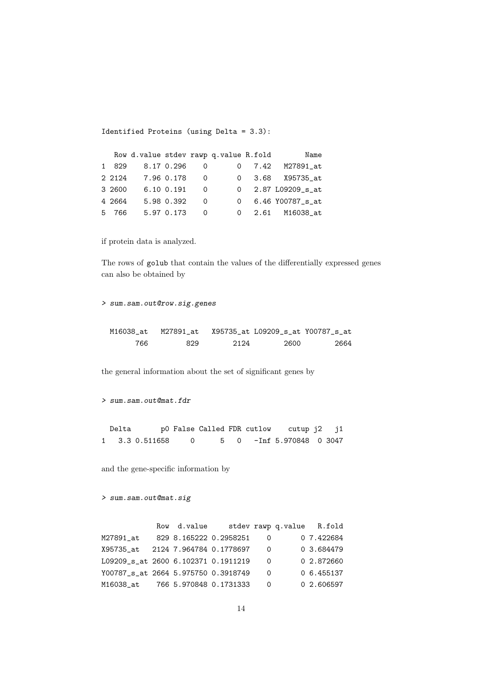Identified Proteins (using Delta = 3.3):

| Name               |  |     |            | Row d.value stdev rawp q.value R.fold |        |  |
|--------------------|--|-----|------------|---------------------------------------|--------|--|
| 0 7.42 M27891 at   |  |     | 8.17 0.296 |                                       | 1 829  |  |
| 0 3.68 X95735 at   |  | - 0 | 7.96 0.178 |                                       | 2 2124 |  |
| 0 2.87 L09209_s_at |  | - 0 | 6.10 0.191 |                                       | 3 2600 |  |
| 0 6.46 Y00787_s_at |  | - 0 | 5.98 0.392 |                                       | 4 2664 |  |
| 0 2.61 M16038 at   |  | - 0 | 5.97 0.173 |                                       | 5 766  |  |

if protein data is analyzed.

The rows of golub that contain the values of the differentially expressed genes can also be obtained by

> sum.sam.out@row.sig.genes

| M16038 at | M27891 at |      | X95735 at L09209 s at Y00787 s at |      |
|-----------|-----------|------|-----------------------------------|------|
| 766       | 829       | 2124 | 2600                              | 2664 |

the general information about the set of significant genes by

```
> sum.sam.out@mat.fdr
```
Delta p0 False Called FDR cutlow cutup j2 j1 1 3.3 0.511658 0 5 0 -Inf 5.970848 0 3047

and the gene-specific information by

```
> sum.sam.out@mat.sig
```

|                                      | Row d.value |                          |     | stdev rawp q.value R.fold |
|--------------------------------------|-------------|--------------------------|-----|---------------------------|
| M27891 at                            |             | 829 8.165222 0.2958251 0 |     | 0 7.422684                |
| X95735 at 2124 7.964784 0.1778697 0  |             |                          |     | 0 3.684479                |
| L09209 s at 2600 6.102371 0.1911219  |             |                          | - 0 | 0 2.872660                |
| Y00787_s_at 2664 5.975750 0.3918749  |             |                          | - 0 | 06.455137                 |
| M16038_at     766 5.970848 0.1731333 |             |                          | - 0 | 0 2.606597                |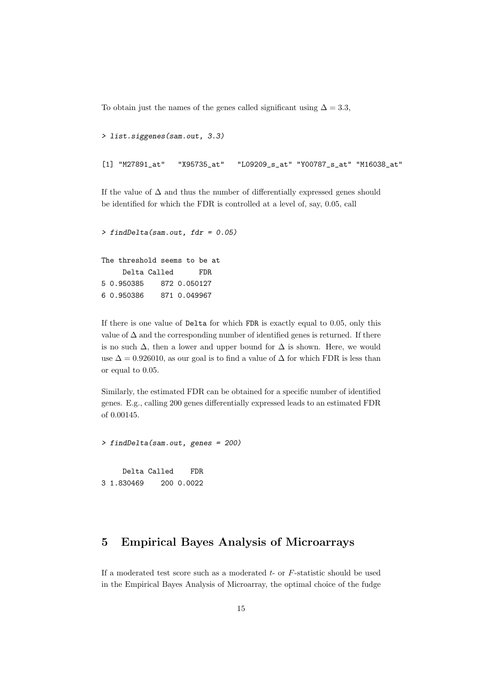To obtain just the names of the genes called significant using  $\Delta = 3.3$ ,

```
> list.siggenes(sam.out, 3.3)
[1] "M27891_at" "X95735_at" "L09209_s_at" "Y00787_s_at" "M16038_at"
```
If the value of  $\Delta$  and thus the number of differentially expressed genes should be identified for which the FDR is controlled at a level of, say, 0.05, call

```
> findDelta(sam.out, fdr = 0.05)
The threshold seems to be at
    Delta Called FDR
5 0.950385 872 0.050127
6 0.950386 871 0.049967
```
If there is one value of Delta for which FDR is exactly equal to 0.05, only this value of  $\Delta$  and the corresponding number of identified genes is returned. If there is no such  $\Delta$ , then a lower and upper bound for  $\Delta$  is shown. Here, we would use  $\Delta = 0.926010$ , as our goal is to find a value of  $\Delta$  for which FDR is less than or equal to 0.05.

Similarly, the estimated FDR can be obtained for a specific number of identified genes. E.g., calling 200 genes differentially expressed leads to an estimated FDR of 0.00145.

```
> findDelta(sam.out, genes = 200)
    Delta Called FDR
3 1.830469 200 0.0022
```
## 5 Empirical Bayes Analysis of Microarrays

If a moderated test score such as a moderated  $t$ - or  $F$ -statistic should be used in the Empirical Bayes Analysis of Microarray, the optimal choice of the fudge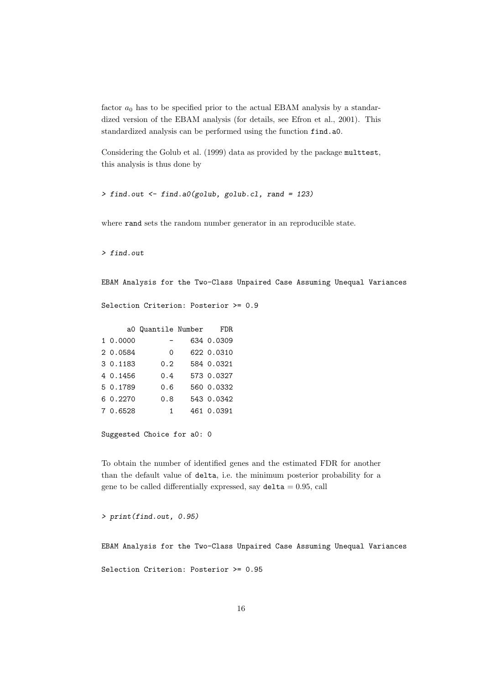factor  $a_0$  has to be specified prior to the actual EBAM analysis by a standardized version of the EBAM analysis (for details, see Efron et al., 2001). This standardized analysis can be performed using the function find.a0.

Considering the Golub et al. (1999) data as provided by the package multtest, this analysis is thus done by

```
> find.out <- find.a0(golub, golub.cl, rand = 123)
```
where **rand** sets the random number generator in an reproducible state.

> find.out

EBAM Analysis for the Two-Class Unpaired Case Assuming Unequal Variances

Selection Criterion: Posterior >= 0.9

|          | aO Quantile Number | FDR.       |
|----------|--------------------|------------|
| 1 0.0000 |                    | 634 0.0309 |
| 2 0.0584 | $\Omega$           | 622 0.0310 |
| 3 0.1183 | 0.2                | 584 0.0321 |
| 4 0.1456 | 0.4                | 573 0.0327 |
| 5 0.1789 | 0.6                | 560 0.0332 |
| 6 0.2270 | 0.8                | 543 0.0342 |
| 7 0.6528 | $\overline{1}$     | 461 0.0391 |
|          |                    |            |

Suggested Choice for a0: 0

To obtain the number of identified genes and the estimated FDR for another than the default value of delta, i.e. the minimum posterior probability for a gene to be called differentially expressed, say  $delta = 0.95$ , call

> print(find.out, 0.95)

EBAM Analysis for the Two-Class Unpaired Case Assuming Unequal Variances

Selection Criterion: Posterior >= 0.95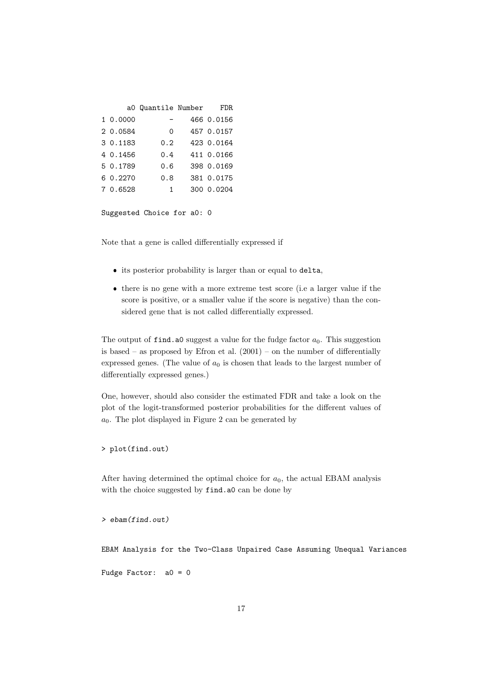|          | aO Quantile Number | FDR.       |
|----------|--------------------|------------|
| 1 0.0000 |                    | 466 0.0156 |
| 2 0.0584 | $\Omega$           | 457 0.0157 |
| 3 0.1183 | 0.2                | 423 0.0164 |
| 4 0.1456 | 0.4                | 411 0.0166 |
| 5 0.1789 | 0.6                | 398 0.0169 |
| 6 0.2270 | 0.8                | 381 0.0175 |
| 7 0.6528 | $\overline{1}$     | 300 0.0204 |

Suggested Choice for a0: 0

Note that a gene is called differentially expressed if

- its posterior probability is larger than or equal to delta,
- there is no gene with a more extreme test score (i.e a larger value if the score is positive, or a smaller value if the score is negative) than the considered gene that is not called differentially expressed.

The output of find. a0 suggest a value for the fudge factor  $a_0$ . This suggestion is based – as proposed by Efron et al.  $(2001)$  – on the number of differentially expressed genes. (The value of  $a_0$  is chosen that leads to the largest number of differentially expressed genes.)

One, however, should also consider the estimated FDR and take a look on the plot of the logit-transformed posterior probabilities for the different values of  $a_0$ . The plot displayed in Figure 2 can be generated by

> plot(find.out)

After having determined the optimal choice for  $a_0$ , the actual EBAM analysis with the choice suggested by find.a0 can be done by

> ebam(find.out)

EBAM Analysis for the Two-Class Unpaired Case Assuming Unequal Variances

Fudge Factor: a0 = 0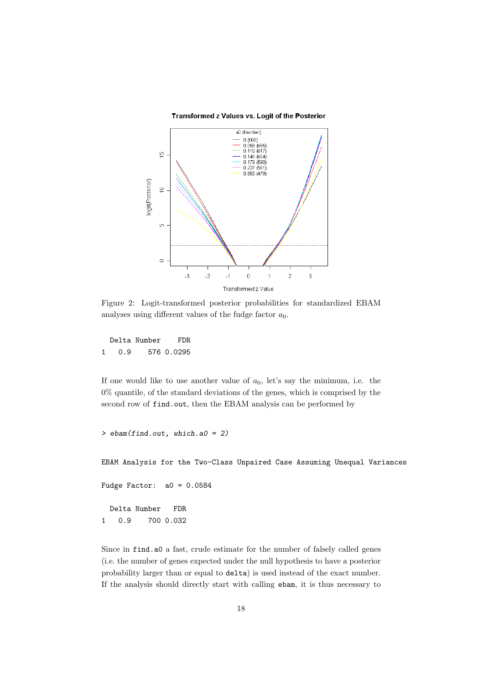



Figure 2: Logit-transformed posterior probabilities for standardized EBAM analyses using different values of the fudge factor  $a_0$ .

Delta Number FDR 1 0.9 576 0.0295

If one would like to use another value of  $a_0$ , let's say the minimum, i.e. the 0% quantile, of the standard deviations of the genes, which is comprised by the second row of find.out, then the EBAM analysis can be performed by

```
> ebam(find.out, which.a0 = 2)
```
EBAM Analysis for the Two-Class Unpaired Case Assuming Unequal Variances

Fudge Factor:  $a0 = 0.0584$ 

Delta Number FDR 1 0.9 700 0.032

Since in find.a0 a fast, crude estimate for the number of falsely called genes (i.e. the number of genes expected under the null hypothesis to have a posterior probability larger than or equal to delta) is used instead of the exact number. If the analysis should directly start with calling ebam, it is thus necessary to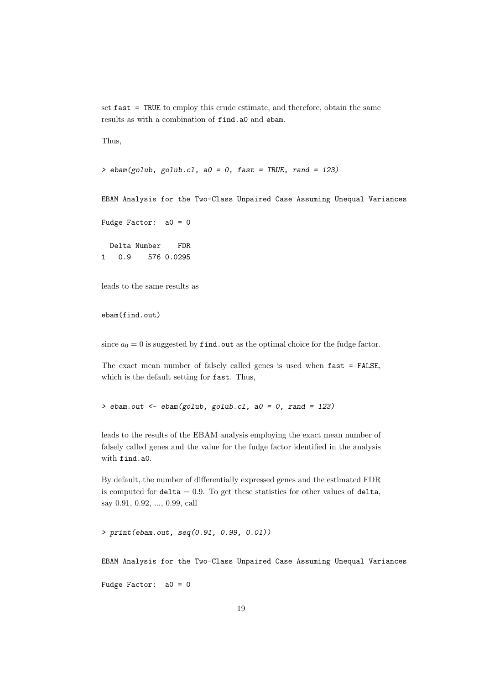set fast = TRUE to employ this crude estimate, and therefore, obtain the same results as with a combination of find.a0 and ebam.

Thus,

```
> ebam(golub, golub.cl, a0 = 0, fast = TRUE, rand = 123)
```
EBAM Analysis for the Two-Class Unpaired Case Assuming Unequal Variances

```
Fudge Factor: a0 = 0
```
Delta Number FDR 1 0.9 576 0.0295

leads to the same results as

```
ebam(find.out)
```
since  $a_0 = 0$  is suggested by find. out as the optimal choice for the fudge factor.

The exact mean number of falsely called genes is used when fast = FALSE, which is the default setting for fast. Thus,

> ebam.out  $\leq$  ebam(golub, golub.cl, a0 = 0, rand = 123)

leads to the results of the EBAM analysis employing the exact mean number of falsely called genes and the value for the fudge factor identified in the analysis with find.a0.

By default, the number of differentially expressed genes and the estimated FDR is computed for  $delta = 0.9$ . To get these statistics for other values of  $delta$ , say 0.91, 0.92, ..., 0.99, call

> print(ebam.out, seq(0.91, 0.99, 0.01))

EBAM Analysis for the Two-Class Unpaired Case Assuming Unequal Variances

Fudge Factor: a0 = 0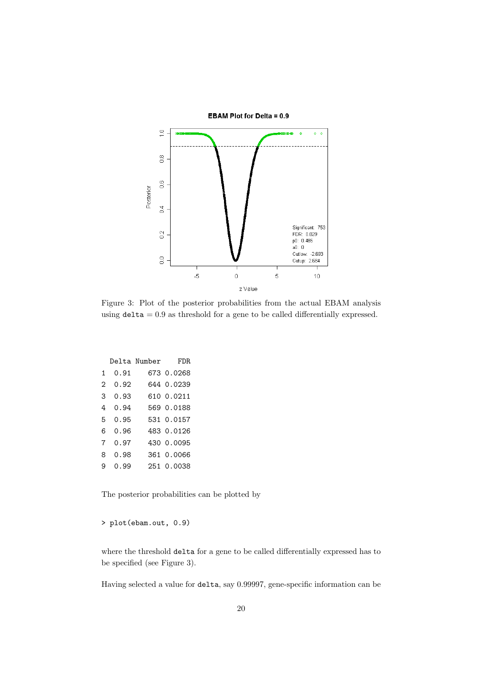

Figure 3: Plot of the posterior probabilities from the actual EBAM analysis using  $delta = 0.9$  as threshold for a gene to be called differentially expressed.

|   |       | Delta Number | FDR.       |
|---|-------|--------------|------------|
| 1 | 0.91  |              | 673 0.0268 |
| 2 | 0.92  |              | 644 0.0239 |
| 3 | 0.93  |              | 610 0.0211 |
| 4 | 0.94  |              | 569 0.0188 |
| 5 | 0.95  |              | 531 0.0157 |
| 6 | Ი. 96 |              | 483 0.0126 |
| 7 | 0.97  |              | 430 0.0095 |
| 8 | ი. 98 |              | 361 0.0066 |
| 9 | ი. 99 |              | 251 0.0038 |
|   |       |              |            |

The posterior probabilities can be plotted by

> plot(ebam.out, 0.9)

where the threshold delta for a gene to be called differentially expressed has to be specified (see Figure 3).

Having selected a value for delta, say 0.99997, gene-specific information can be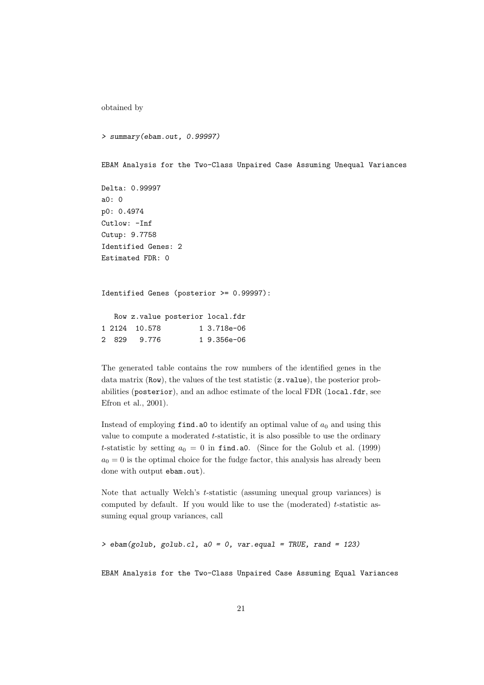```
obtained by
```

```
> summary(ebam.out, 0.99997)
```
EBAM Analysis for the Two-Class Unpaired Case Assuming Unequal Variances

```
Delta: 0.99997
a0: 0
p0: 0.4974
Cutlow: -Inf
Cutup: 9.7758
Identified Genes: 2
Estimated FDR: 0
```

```
Identified Genes (posterior >= 0.99997):
```

|  |               | Row z.value posterior local.fdr |                |
|--|---------------|---------------------------------|----------------|
|  | 1 2124 10.578 |                                 | 1 3.718e-06    |
|  | 2 829 9.776   |                                 | $1, 9.356e-06$ |

The generated table contains the row numbers of the identified genes in the data matrix (Row), the values of the test statistic (z.value), the posterior probabilities (posterior), and an adhoc estimate of the local FDR (local.fdr, see Efron et al., 2001).

Instead of employing find.a0 to identify an optimal value of  $a_0$  and using this value to compute a moderated t-statistic, it is also possible to use the ordinary *t*-statistic by setting  $a_0 = 0$  in find.a0. (Since for the Golub et al. (1999)  $a_0 = 0$  is the optimal choice for the fudge factor, this analysis has already been done with output ebam.out).

Note that actually Welch's t-statistic (assuming unequal group variances) is computed by default. If you would like to use the (moderated)  $t$ -statistic assuming equal group variances, call

 $>$  ebam(golub, golub.cl, a0 = 0, var.equal = TRUE, rand = 123)

EBAM Analysis for the Two-Class Unpaired Case Assuming Equal Variances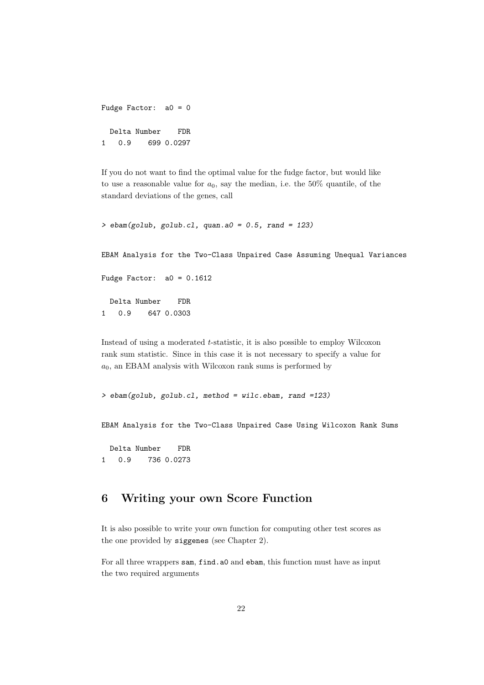```
Fudge Factor: a0 = 0
 Delta Number FDR
1 0.9 699 0.0297
```
If you do not want to find the optimal value for the fudge factor, but would like to use a reasonable value for  $a_0$ , say the median, i.e. the 50% quantile, of the standard deviations of the genes, call

```
> ebam(golub, golub.cl, quan.a0 = 0.5, rand = 123)
```
EBAM Analysis for the Two-Class Unpaired Case Assuming Unequal Variances

Fudge Factor:  $a0 = 0.1612$ 

Delta Number FDR 1 0.9 647 0.0303

Instead of using a moderated t-statistic, it is also possible to employ Wilcoxon rank sum statistic. Since in this case it is not necessary to specify a value for  $a_0$ , an EBAM analysis with Wilcoxon rank sums is performed by

> ebam(golub, golub.cl, method = wilc.ebam, rand =123)

EBAM Analysis for the Two-Class Unpaired Case Using Wilcoxon Rank Sums

Delta Number FDR 1 0.9 736 0.0273

# 6 Writing your own Score Function

It is also possible to write your own function for computing other test scores as the one provided by siggenes (see Chapter 2).

For all three wrappers sam, find.a0 and ebam, this function must have as input the two required arguments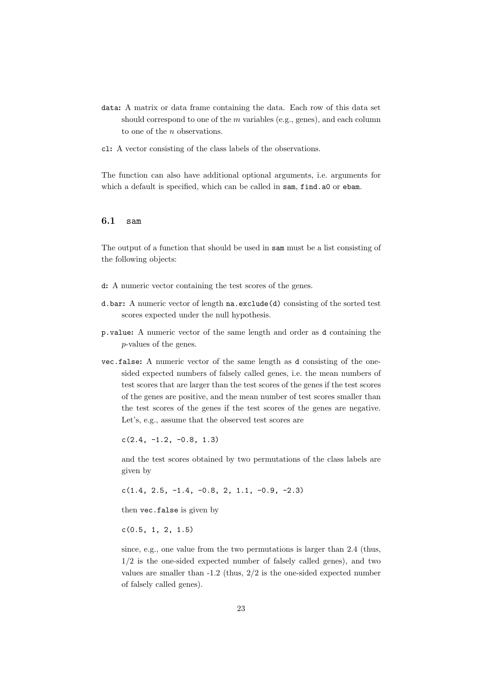- data: A matrix or data frame containing the data. Each row of this data set should correspond to one of the  $m$  variables (e.g., genes), and each column to one of the n observations.
- cl: A vector consisting of the class labels of the observations.

The function can also have additional optional arguments, i.e. arguments for which a default is specified, which can be called in sam, find.a0 or ebam.

#### 6.1 sam

The output of a function that should be used in sam must be a list consisting of the following objects:

- d: A numeric vector containing the test scores of the genes.
- d.bar: A numeric vector of length na.exclude(d) consisting of the sorted test scores expected under the null hypothesis.
- p.value: A numeric vector of the same length and order as d containing the p-values of the genes.
- vec.false: A numeric vector of the same length as d consisting of the onesided expected numbers of falsely called genes, i.e. the mean numbers of test scores that are larger than the test scores of the genes if the test scores of the genes are positive, and the mean number of test scores smaller than the test scores of the genes if the test scores of the genes are negative. Let's, e.g., assume that the observed test scores are

 $c(2.4, -1.2, -0.8, 1.3)$ 

and the test scores obtained by two permutations of the class labels are given by

 $c(1.4, 2.5, -1.4, -0.8, 2, 1.1, -0.9, -2.3)$ 

then vec.false is given by

 $c(0.5, 1, 2, 1.5)$ 

since, e.g., one value from the two permutations is larger than 2.4 (thus,  $1/2$  is the one-sided expected number of falsely called genes), and two values are smaller than -1.2 (thus, 2/2 is the one-sided expected number of falsely called genes).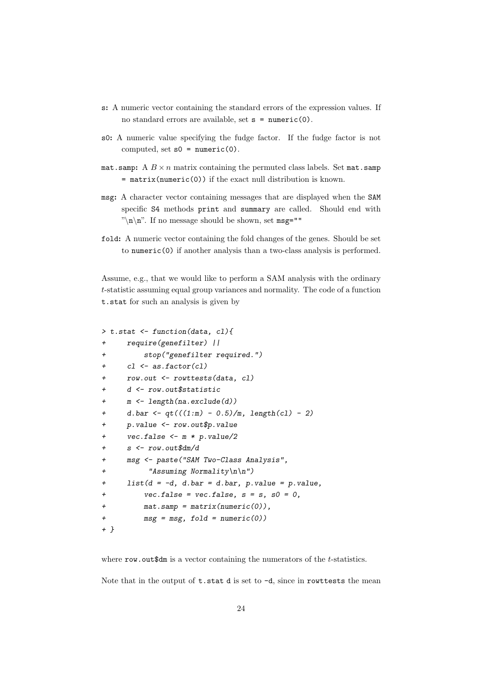- s: A numeric vector containing the standard errors of the expression values. If no standard errors are available, set  $s = numeric(0)$ .
- s0: A numeric value specifying the fudge factor. If the fudge factor is not computed, set  $s0 = numeric(0)$ .
- mat.samp: A  $B \times n$  matrix containing the permuted class labels. Set mat.samp  $=$  matrix(numeric(0)) if the exact null distribution is known.
- msg: A character vector containing messages that are displayed when the SAM specific S4 methods print and summary are called. Should end with "\n\n". If no message should be shown, set msg=""
- fold: A numeric vector containing the fold changes of the genes. Should be set to numeric(0) if another analysis than a two-class analysis is performed.

Assume, e.g., that we would like to perform a SAM analysis with the ordinary t-statistic assuming equal group variances and normality. The code of a function t.stat for such an analysis is given by

```
> t.stat <- function(data, cl){
+ require(genefilter) ||
+ stop("genefilter required.")
+ cl <- as.factor(cl)
+ row.out <- rowttests(data, cl)
+ d <- row.out$statistic
+ m <- length(na.exclude(d))
+ d.bar <- qt(((1:m) - 0.5)/m, length(cl) - 2)
+ p.value <- row.out$p.value
+ vec.false <- m * p.value/2
+ s <- row.out$dm/d
+ msg <- paste("SAM Two-Class Analysis",
+ "Assuming Normality\n\n")
+ list(d = -d, d.bar = d.bar, p.value = p.value,
+ vec.false = vec.false, s = s, s0 = 0,
+ mat.samp = matrix(numeric(0)),
+ msg = msg, fold = numeric(0))
+ }
```
where row. out\$dm is a vector containing the numerators of the t-statistics.

Note that in the output of  $t$ . stat d is set to  $-d$ , since in rowttests the mean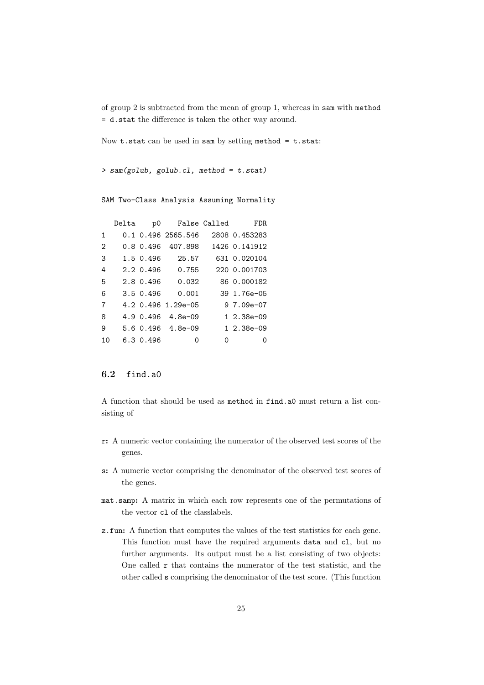of group 2 is subtracted from the mean of group 1, whereas in sam with method = d.stat the difference is taken the other way around.

Now  $t.$  stat can be used in sam by setting method =  $t.$  stat:

```
> sam(golub, golub.cl, method = t.stat)
```
SAM Two-Class Analysis Assuming Normality

|              | Delta | p0        |                          | False Called | FDR.           |
|--------------|-------|-----------|--------------------------|--------------|----------------|
| $\mathbf{1}$ |       |           | 0.1 0.496 2565.546       |              | 2808 0.453283  |
| 2            |       |           | 0.8 0.496 407.898        |              | 1426 0.141912  |
| 3            |       | 1.5 0.496 | 25.57                    |              | 631 0.020104   |
| 4            |       | 2.2 0.496 | 0.755                    |              | 220 0.001703   |
| 5            |       | 2.8 0.496 | 0.032                    |              | 86 0.000182    |
| 6            |       | 3.5 0.496 | 0.001                    |              | 39 1.76e-05    |
| 7            |       |           | 4.2 0.496 1.29e-05       |              | $97.09e-07$    |
| 8            |       |           | $4.9 \t0.496 \t4.8e-0.9$ |              | $1, 2.38e-0.9$ |
| 9            |       |           | 5.6 0.496 4.8e-09        |              | $12.38e-09$    |
| 10           |       | 6.3 0.496 | Ω                        | Ω            | ∩              |

#### 6.2 find.a0

A function that should be used as method in find.a0 must return a list consisting of

- r: A numeric vector containing the numerator of the observed test scores of the genes.
- s: A numeric vector comprising the denominator of the observed test scores of the genes.
- mat.samp: A matrix in which each row represents one of the permutations of the vector cl of the classlabels.
- z.fun: A function that computes the values of the test statistics for each gene. This function must have the required arguments data and cl, but no further arguments. Its output must be a list consisting of two objects: One called r that contains the numerator of the test statistic, and the other called s comprising the denominator of the test score. (This function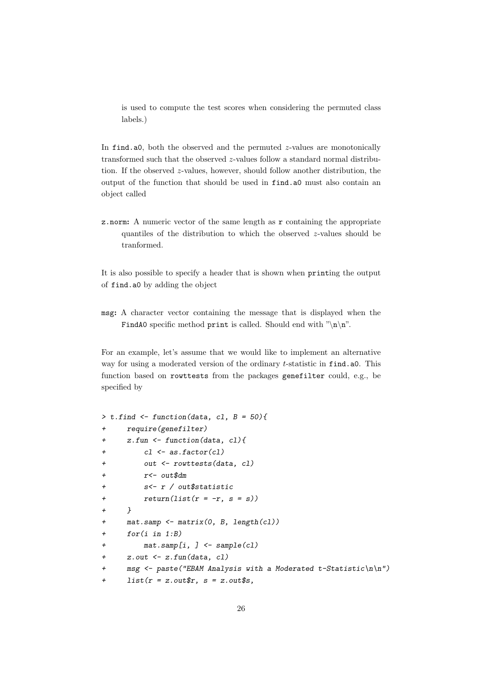is used to compute the test scores when considering the permuted class labels.)

In find.a0, both the observed and the permuted  $z$ -values are monotonically transformed such that the observed z-values follow a standard normal distribution. If the observed  $z$ -values, however, should follow another distribution, the output of the function that should be used in find.a0 must also contain an object called

z.norm: A numeric vector of the same length as r containing the appropriate quantiles of the distribution to which the observed z-values should be tranformed.

It is also possible to specify a header that is shown when printing the output of find.a0 by adding the object

msg: A character vector containing the message that is displayed when the FindA0 specific method print is called. Should end with " $\langle n \rangle n$ ".

For an example, let's assume that we would like to implement an alternative way for using a moderated version of the ordinary  $t$ -statistic in find.a0. This function based on rowttests from the packages genefilter could, e.g., be specified by

```
> t.find \le function(data, cl, B = 50){
+ require(genefilter)
+ z.fun <- function(data, cl){
+ cl <- as.factor(cl)
+ out <- rowttests(data, cl)
+ r<- out$dm
+ s<- r / out$statistic
+ return(list(r = -r, s = s))+ }
+ mat.samp <- matrix(0, B, length(cl))
+ for(i in 1:B)
+ mat.samp[i, ] <- sample(cl)
+ z.out <- z.fun(data, cl)
+ msg <- paste("EBAM Analysis with a Moderated t-Statistic\n\n")
+ list(r = z.out \r, s = z.out \s,
```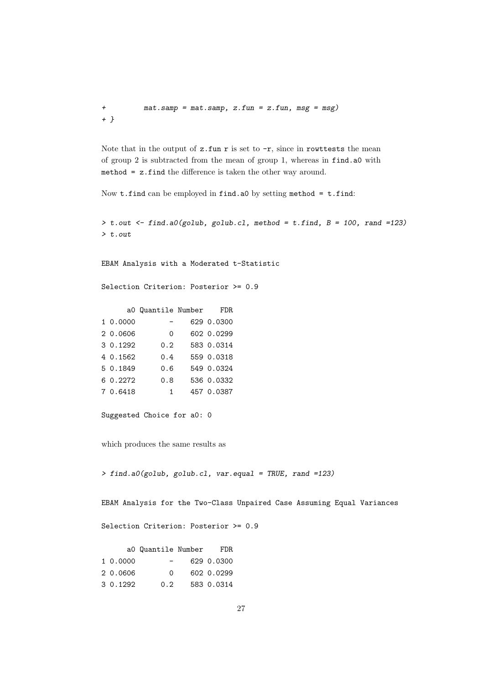+ mat.samp = mat.samp, z.fun = z.fun, msg = msg) + }

Note that in the output of  $z$ .fun r is set to  $-r$ , since in rowttests the mean of group 2 is subtracted from the mean of group 1, whereas in find.a0 with method = z.find the difference is taken the other way around.

Now  $t$ .find can be employed in find.a0 by setting method =  $t$ .find:

 $>$  t.out  $\le$  find.a0(golub, golub.cl, method = t.find, B = 100, rand =123) > t.out

EBAM Analysis with a Moderated t-Statistic

Selection Criterion: Posterior >= 0.9

|          | aO Quantile Number | <b>FDR</b> |
|----------|--------------------|------------|
| 1 0.0000 |                    | 629 0.0300 |
| 2 0.0606 | $\Omega$           | 602 0.0299 |
| 3 0.1292 | 0.2                | 583 0.0314 |
| 4 0.1562 | 0.4                | 559 0.0318 |
| 5 0.1849 | 0.6                | 549 0.0324 |
| 6 0.2272 | 0.8                | 536 0.0332 |
| 7 0.6418 | $\overline{1}$     | 457 0.0387 |
|          |                    |            |

Suggested Choice for a0: 0

which produces the same results as

> find.a0(golub, golub.cl, var.equal = TRUE, rand =123)

EBAM Analysis for the Two-Class Unpaired Case Assuming Equal Variances

Selection Criterion: Posterior >= 0.9

|          | aO Quantile Number | FDR.       |
|----------|--------------------|------------|
| 1 0.0000 |                    | 629 0.0300 |
| 2 0.0606 | ∩                  | 602 0.0299 |
| 3 0.1292 | 0.2 <sub>1</sub>   | 583 0.0314 |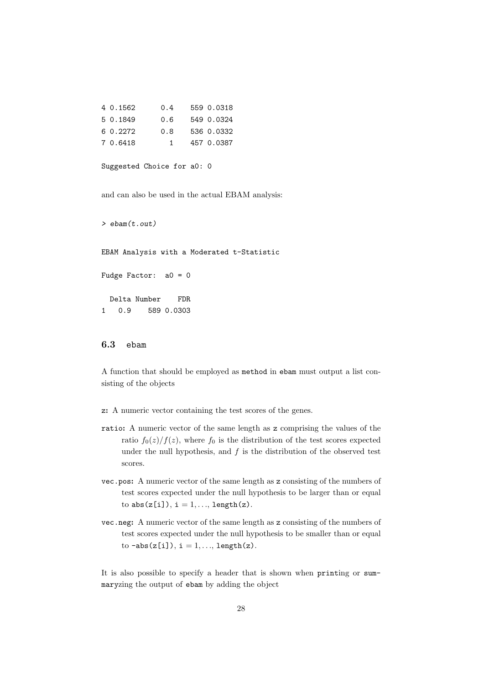| 4 0.1562 | 0.4 | 559 0.0318 |
|----------|-----|------------|
| 5 0.1849 | 0.6 | 549 0.0324 |
| 6 0.2272 | 0.8 | 536 0.0332 |
| 7 0.6418 | 1.  | 457 0.0387 |

```
Suggested Choice for a0: 0
```
and can also be used in the actual EBAM analysis:

> ebam(t.out)

EBAM Analysis with a Moderated t-Statistic

```
Fudge Factor: a0 = 0
```
Delta Number FDR 1 0.9 589 0.0303

#### 6.3 ebam

A function that should be employed as method in ebam must output a list consisting of the objects

- z: A numeric vector containing the test scores of the genes.
- ratio: A numeric vector of the same length as z comprising the values of the ratio  $f_0(z)/f(z)$ , where  $f_0$  is the distribution of the test scores expected under the null hypothesis, and  $f$  is the distribution of the observed test scores.
- vec.pos: A numeric vector of the same length as z consisting of the numbers of test scores expected under the null hypothesis to be larger than or equal to  $abs(z[i]), i = 1, ..., length(z)$ .
- vec.neg: A numeric vector of the same length as z consisting of the numbers of test scores expected under the null hypothesis to be smaller than or equal to  $-\text{abs}(z[i]), i = 1, \ldots, \text{length}(z).$

It is also possible to specify a header that is shown when printing or summaryzing the output of ebam by adding the object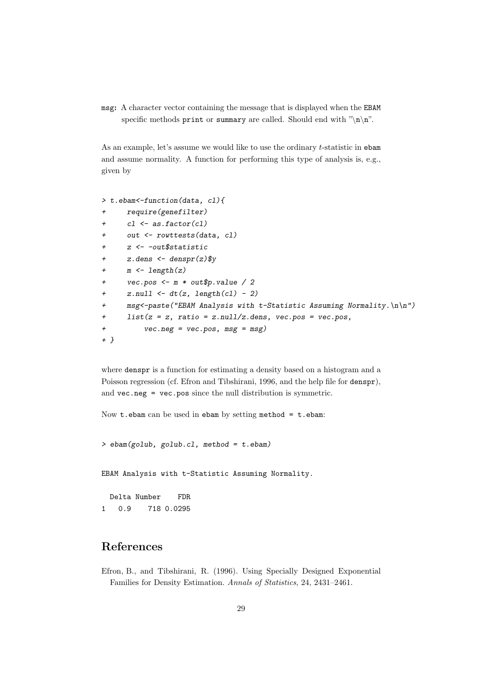msg: A character vector containing the message that is displayed when the EBAM specific methods print or summary are called. Should end with " $\langle n \rangle n$ ".

As an example, let's assume we would like to use the ordinary t-statistic in ebam and assume normality. A function for performing this type of analysis is, e.g., given by

```
> t.ebam<-function(data, cl){
+ require(genefilter)
+ cl <- as.factor(cl)
+ out <- rowttests(data, cl)
+ z <- -out$statistic
+ z.dens \leftarrow denspr(z)$y
+ m \leftarrow length(z)+ vec.pos <- m * out$p.value / 2
+ znull \leftarrow dt(z, length(cl) - 2)+ msg<-paste("EBAM Analysis with t-Statistic Assuming Normality.\ln\ln")
+ list(z = z, ratio = z.null/z.dens, vec.pos = vec.pos,
+ vec.neg = vec.pos, msg = msg)
+ }
```
where denspr is a function for estimating a density based on a histogram and a Poisson regression (cf. Efron and Tibshirani, 1996, and the help file for denspr), and vec.neg = vec.pos since the null distribution is symmetric.

Now  $t.$  ebam can be used in ebam by setting method  $= t.$  ebam:

 $>$  ebam(golub, golub.cl, method = t.ebam)

EBAM Analysis with t-Statistic Assuming Normality.

Delta Number FDR 1 0.9 718 0.0295

### References

Efron, B., and Tibshirani, R. (1996). Using Specially Designed Exponential Families for Density Estimation. Annals of Statistics, 24, 2431–2461.